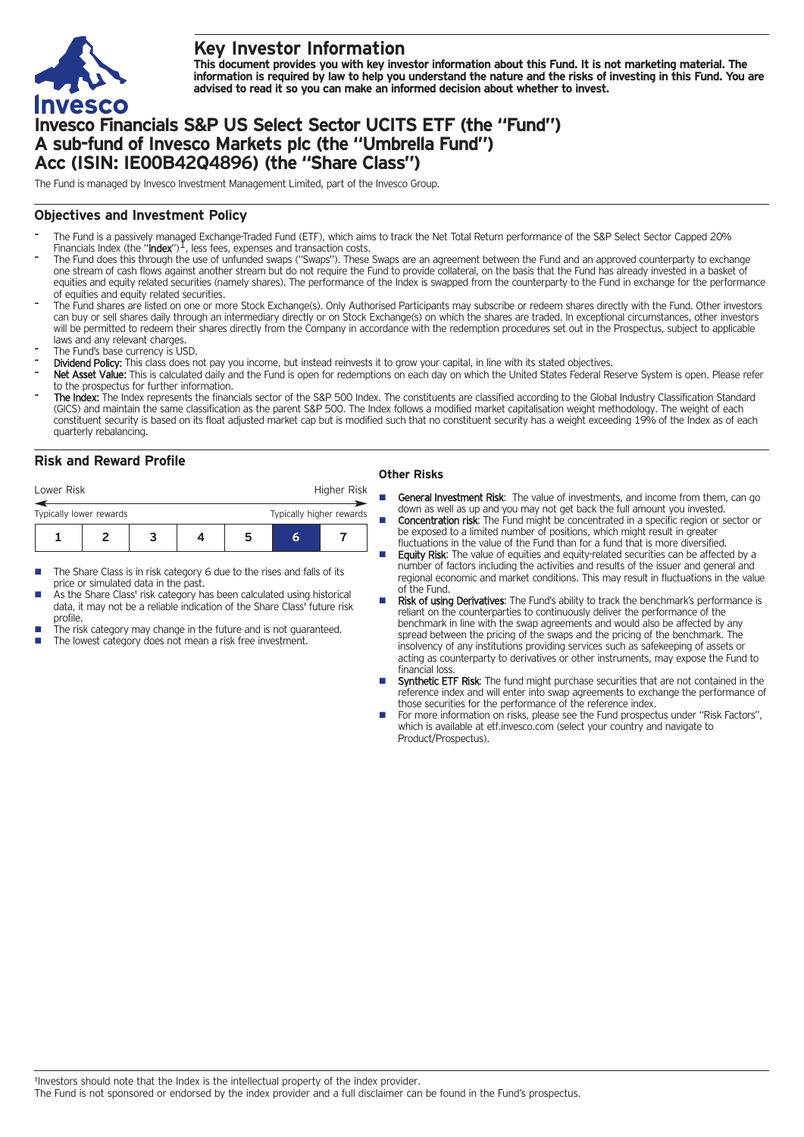

# **Key Investor Information**

This document provides you with key investor information about this Fund. It is not marketing material. The information is required by law to help you understand the nature and the risks of investing in this Fund. You are **advised to read it so you can make an informed decision about whether to invest.**

# **Invesco Financials S&P US Select Sector UCITS ETF (the "Fund") A sub-fund of Invesco Markets plc (the "Umbrella Fund") Acc (ISIN: IE00B42Q4896) (the "Share Class")**

The Fund is managed by Invesco Investment Management Limited, part of the Invesco Group.

## **Objectives and Investment Policy**

- The Fund is a passively managed Exchange-Traded Fund (ETF), which aims to track the Net Total Return performance of the S&P Select Sector Capped 20%<br>Financials Index (the "**Index**")<sup>1</sup>, less fees, expenses and transaction
- The Fund does this through the use of unfunded swaps ("Swaps"). These Swaps are an agreement between the Fund and an approved counterparty to exchange one stream of cash flows against another stream but do not require the Fund to provide collateral, on the basis that the Fund has already invested in a basket of equities and equity related securities (namely shares). The performance of the Index is swapped from the counterparty to the Fund in exchange for the performance of equities and equity related securities.
- The Fund shares are listed on one or more Stock Exchange(s). Only Authorised Participants may subscribe or redeem shares directly with the Fund. Other investors can buy or sell shares daily through an intermediary directly or on Stock Exchange(s) on which the shares are traded. In exceptional circumstances, other investors will be permitted to redeem their shares directly from the Company in accordance with the redemption procedures set out in the Prospectus, subject to applicable laws and any relevant charges.
- The Fund's base currency is USD.
- Dividend Policy: This class does not pay you income, but instead reinvests it to grow your capital, in line with its stated objectives.
- Net Asset Value: This is calculated daily and the Fund is open for redemptions on each day on which the United States Federal Reserve System is open. Please refer to the prospectus for further information.
- The Index: The Index represents the financials sector of the S&P 500 Index. The constituents are classified according to the Global Industry Classification Standard (GICS) and maintain the same classification as the parent S&P 500. The Index follows a modified market capitalisation weight methodology. The weight of each constituent security is based on its float adjusted market cap but is modified such that no constituent security has a weight exceeding 19% of the Index as of each quarterly rebalancing.

## **Risk and Reward Profile**

| Lower Risk              |  |  |  |   |  | Higher Risk              |  |
|-------------------------|--|--|--|---|--|--------------------------|--|
| Typically lower rewards |  |  |  |   |  | Typically higher rewards |  |
|                         |  |  |  | h |  |                          |  |

- The Share Class is in risk category 6 due to the rises and falls of its price or simulated data in the past.
- As the Share Class' risk category has been calculated using historical data, it may not be a reliable indication of the Share Class' future risk profile.
- The risk category may change in the future and is not guaranteed.
- The lowest category does not mean a risk free investment.

### **Other Risks**

- General Investment Risk: The value of investments, and income from them, can go down as well as up and you may not get back the full amount you invested.
- **Concentration risk:** The Fund might be concentrated in a specific region or sector or be exposed to a limited number of positions, which might result in greater fluctuations in the value of the Fund than for a fund that is more diversified.
- Equity Risk: The value of equities and equity-related securities can be affected by a number of factors including the activities and results of the issuer and general and regional economic and market conditions. This may result in fluctuations in the value of the Fund.
- Risk of using Derivatives: The Fund's ability to track the benchmark's performance is reliant on the counterparties to continuously deliver the performance of the benchmark in line with the swap agreements and would also be affected by any spread between the pricing of the swaps and the pricing of the benchmark. The insolvency of any institutions providing services such as safekeeping of assets or acting as counterparty to derivatives or other instruments, may expose the Fund to financial loss.
- Synthetic ETF Risk: The fund might purchase securities that are not contained in the reference index and will enter into swap agreements to exchange the performance of those securities for the performance of the reference index.
- For more information on risks, please see the Fund prospectus under "Risk Factors", which is available at etf.invesco.com (select your country and navigate to Product/Prospectus).